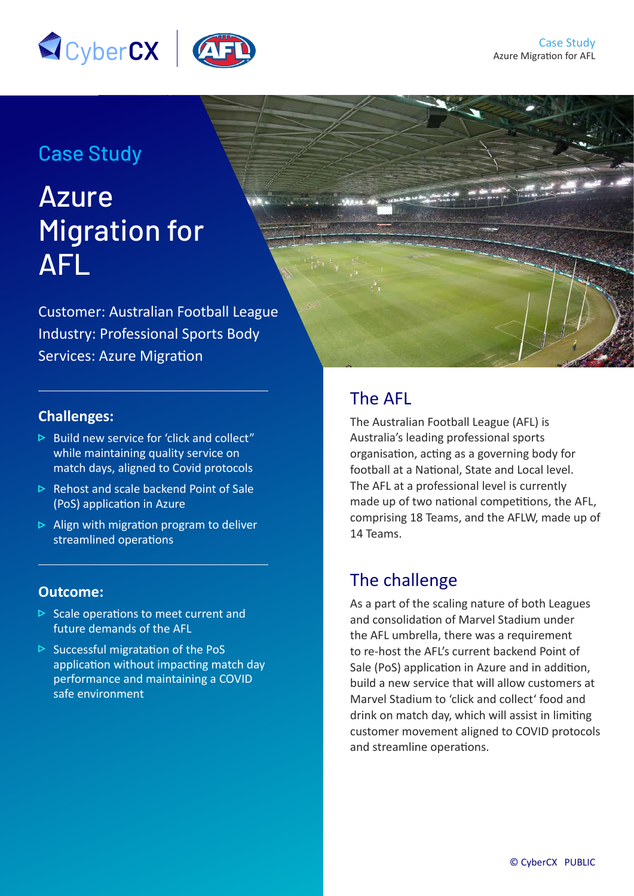

## Case Study

# Azure Migration for AFL

Customer: Australian Football League Industry: Professional Sports Body Services: Azure Migration

#### **Challenges:**

- $\triangleright$  Build new service for 'click and collect" while maintaining quality service on match days, aligned to Covid protocols
- $\triangleright$  Rehost and scale backend Point of Sale (PoS) application in Azure
- $\triangleright$  Align with migration program to deliver streamlined operations

#### **Outcome:**

- $\triangleright$  Scale operations to meet current and future demands of the AFL
- $\triangleright$  Successful migratation of the PoS application without impacting match day performance and maintaining a COVID safe environment

## The AFL

The Australian Football League (AFL) is Australia's leading professional sports organisation, acting as a governing body for football at a National, State and Local level. The AFL at a professional level is currently made up of two national competitions, the AFL, comprising 18 Teams, and the AFLW, made up of 14 Teams.

### The challenge

As a part of the scaling nature of both Leagues and consolidation of Marvel Stadium under the AFL umbrella, there was a requirement to re-host the AFL's current backend Point of Sale (PoS) application in Azure and in addition, build a new service that will allow customers at Marvel Stadium to 'click and collect' food and drink on match day, which will assist in limiting customer movement aligned to COVID protocols and streamline operations.